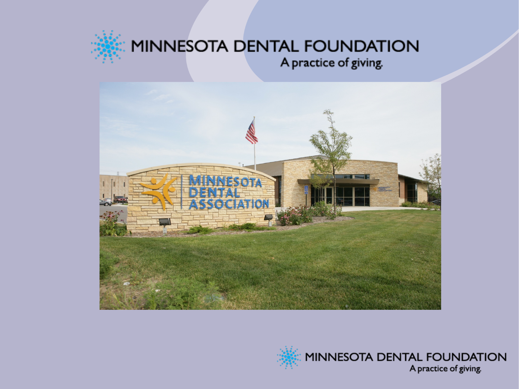

#### MINNESOTA DENTAL FOUNDATION A practice of giving.



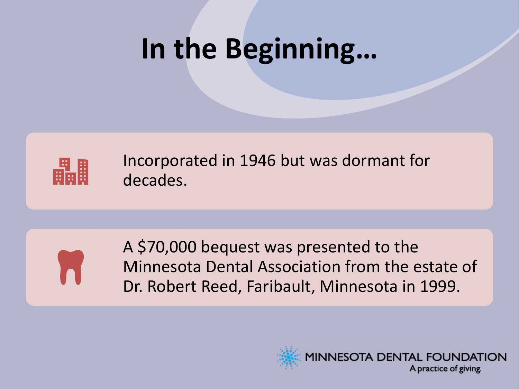# **In the Beginning…**



Incorporated in 1946 but was dormant for decades.



A \$70,000 bequest was presented to the Minnesota Dental Association from the estate of Dr. Robert Reed, Faribault, Minnesota in 1999.

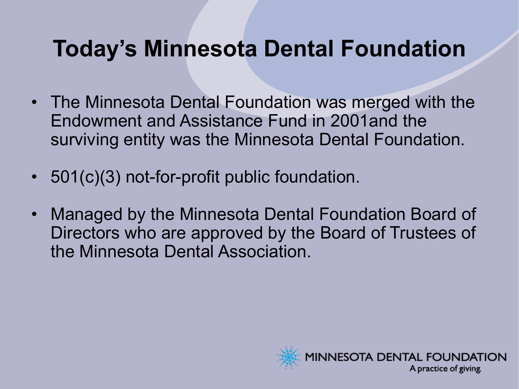### **Today's Minnesota Dental Foundation**

- The Minnesota Dental Foundation was merged with the Endowment and Assistance Fund in 2001and the surviving entity was the Minnesota Dental Foundation.
- 501(c)(3) not-for-profit public foundation.
- Managed by the Minnesota Dental Foundation Board of Directors who are approved by the Board of Trustees of the Minnesota Dental Association.

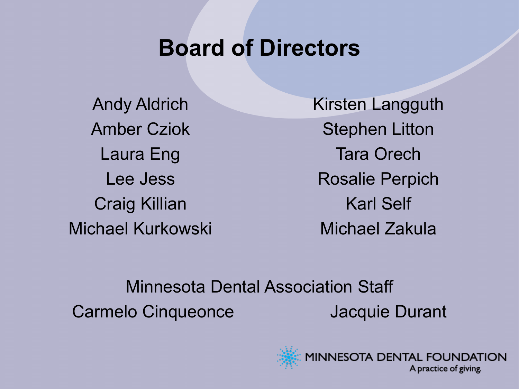#### **Board of Directors**

Andy Aldrich Amber Cziok Laura Eng Lee Jess Craig Killian Michael Kurkowski Kirsten Langguth Stephen Litton Tara Orech Rosalie Perpich Karl Self Michael Zakula

Minnesota Dental Association Staff Carmelo Cinqueonce **Jacquie Durant** 

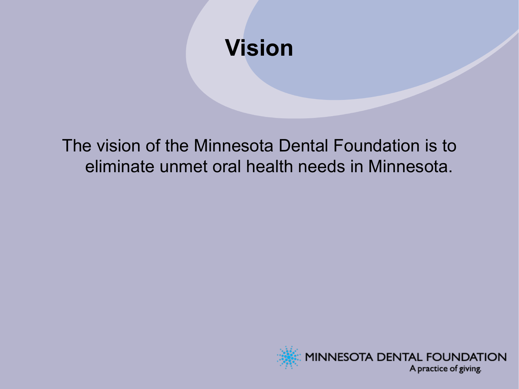### **Vision**

The vision of the Minnesota Dental Foundation is to eliminate unmet oral health needs in Minnesota.

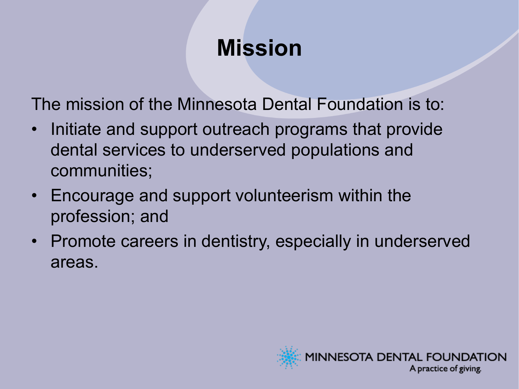### **Mission**

The mission of the Minnesota Dental Foundation is to:

- Initiate and support outreach programs that provide dental services to underserved populations and communities;
- Encourage and support volunteerism within the profession; and
- Promote careers in dentistry, especially in underserved areas.

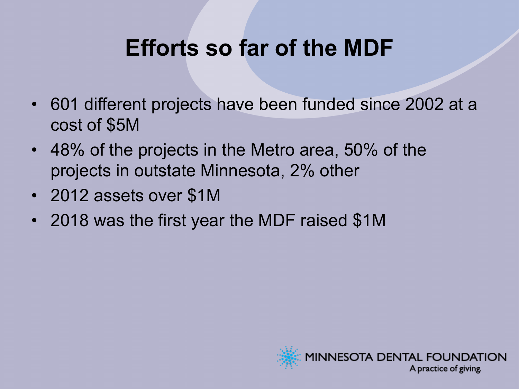### **Efforts so far of the MDF**

- 601 different projects have been funded since 2002 at a cost of \$5M
- 48% of the projects in the Metro area, 50% of the projects in outstate Minnesota, 2% other
- 2012 assets over \$1M
- 2018 was the first year the MDF raised \$1M

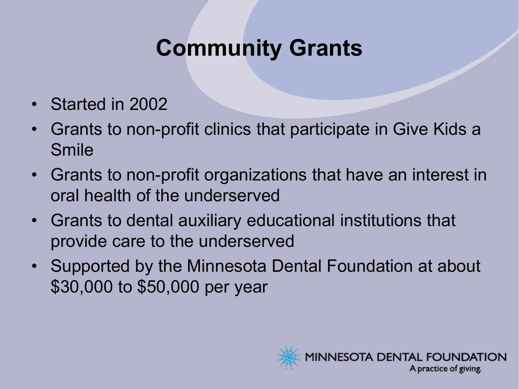### **Community Grants**

- Started in 2002
- Grants to non-profit clinics that participate in Give Kids a Smile
- Grants to non-profit organizations that have an interest in oral health of the underserved
- Grants to dental auxiliary educational institutions that provide care to the underserved
- Supported by the Minnesota Dental Foundation at about \$30,000 to \$50,000 per year

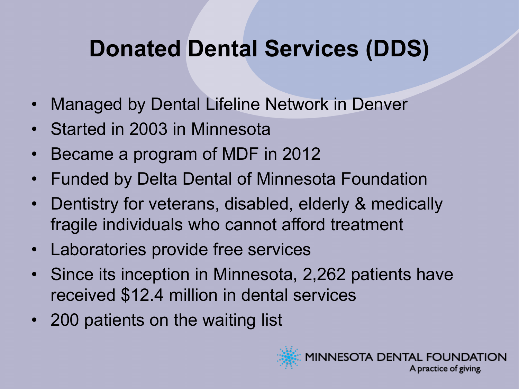### **Donated Dental Services (DDS)**

- Managed by Dental Lifeline Network in Denver
- Started in 2003 in Minnesota
- Became a program of MDF in 2012
- Funded by Delta Dental of Minnesota Foundation
- Dentistry for veterans, disabled, elderly & medically fragile individuals who cannot afford treatment
- Laboratories provide free services
- Since its inception in Minnesota, 2,262 patients have received \$12.4 million in dental services
- 200 patients on the waiting list

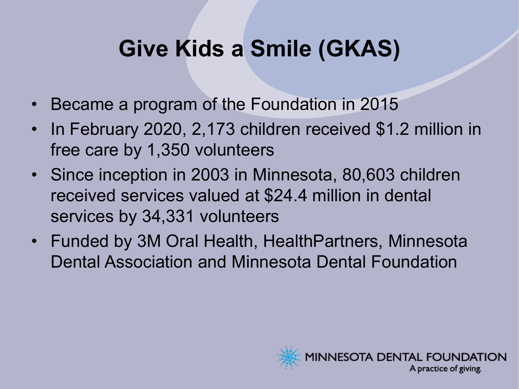### **Give Kids a Smile (GKAS)**

- Became a program of the Foundation in 2015
- In February 2020, 2,173 children received \$1.2 million in free care by 1,350 volunteers
- Since inception in 2003 in Minnesota, 80,603 children received services valued at \$24.4 million in dental services by 34,331 volunteers
- Funded by 3M Oral Health, HealthPartners, Minnesota Dental Association and Minnesota Dental Foundation

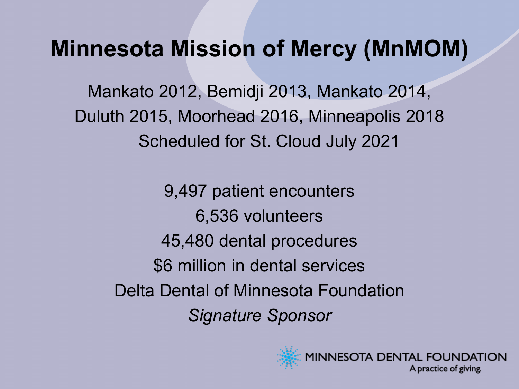#### **Minnesota Mission of Mercy (MnMOM)**

Mankato 2012, Bemidji 2013, Mankato 2014, Duluth 2015, Moorhead 2016, Minneapolis 2018 Scheduled for St. Cloud July 2021

9,497 patient encounters 6,536 volunteers 45,480 dental procedures \$6 million in dental services Delta Dental of Minnesota Foundation *Signature Sponsor*



MINNESOTA DENTAL FOUNDATION A practice of giving.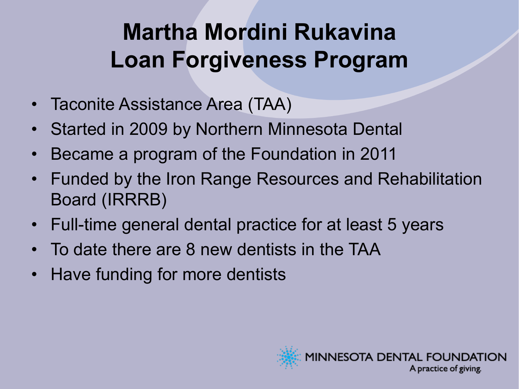## **Martha Mordini Rukavina Loan Forgiveness Program**

- Taconite Assistance Area (TAA)
- Started in 2009 by Northern Minnesota Dental
- Became a program of the Foundation in 2011
- Funded by the Iron Range Resources and Rehabilitation Board (IRRRB)
- Full-time general dental practice for at least 5 years
- To date there are 8 new dentists in the TAA
- Have funding for more dentists

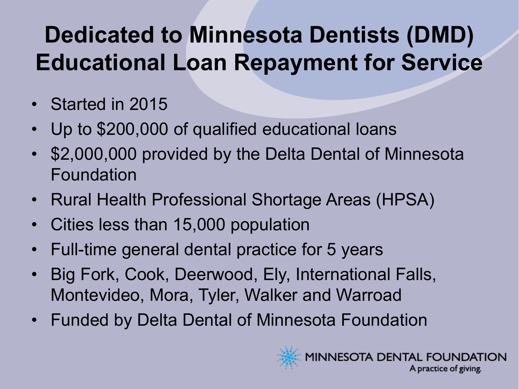## **Dedicated to Minnesota Dentists (DMD) Educational Loan Repayment for Service**

- Started in 2015
- Up to \$200,000 of qualified educational loans
- \$2,000,000 provided by the Delta Dental of Minnesota Foundation
- Rural Health Professional Shortage Areas (HPSA)
- Cities less than 15,000 population
- Full-time general dental practice for 5 years
- Big Fork, Cook, Deerwood, Ely, International Falls, Montevideo, Mora, Tyler, Walker and Warroad
- Funded by Delta Dental of Minnesota Foundation



A practice of giving.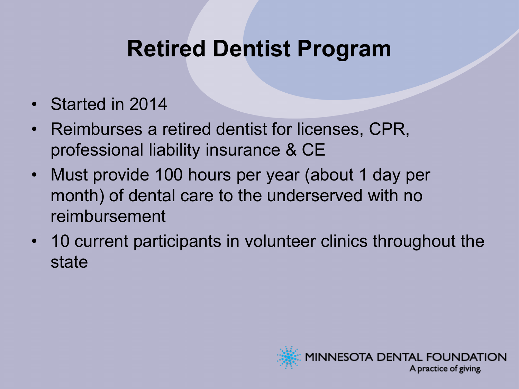### **Retired Dentist Program**

- Started in 2014
- Reimburses a retired dentist for licenses, CPR, professional liability insurance & CE
- Must provide 100 hours per year (about 1 day per month) of dental care to the underserved with no reimbursement
- 10 current participants in volunteer clinics throughout the state

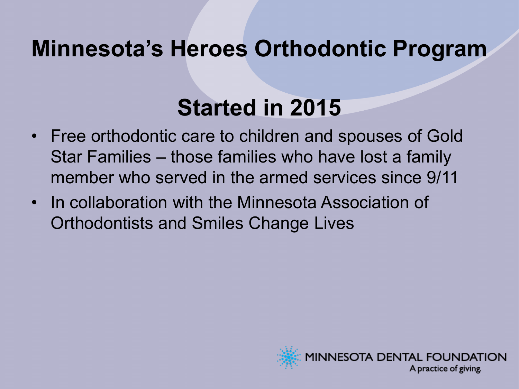#### **Minnesota's Heroes Orthodontic Program**

### **Started in 2015**

- Free orthodontic care to children and spouses of Gold Star Families – those families who have lost a family member who served in the armed services since 9/11
- In collaboration with the Minnesota Association of Orthodontists and Smiles Change Lives

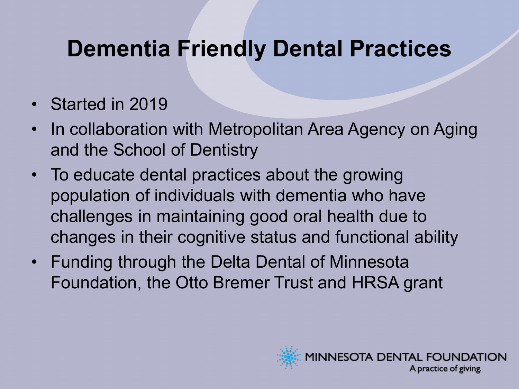### **Dementia Friendly Dental Practices**

- Started in 2019
- In collaboration with Metropolitan Area Agency on Aging and the School of Dentistry
- To educate dental practices about the growing population of individuals with dementia who have challenges in maintaining good oral health due to changes in their cognitive status and functional ability
- Funding through the Delta Dental of Minnesota Foundation, the Otto Bremer Trust and HRSA grant

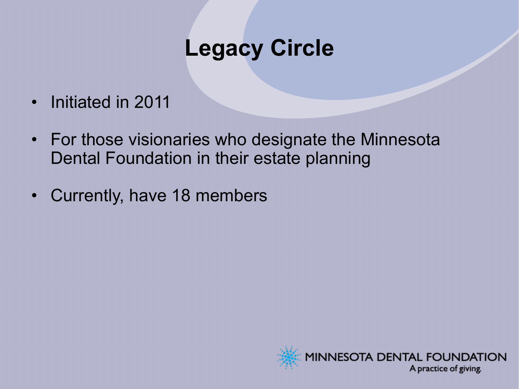#### **Legacy Circle**

- Initiated in 2011
- For those visionaries who designate the Minnesota Dental Foundation in their estate planning
- Currently, have 18 members

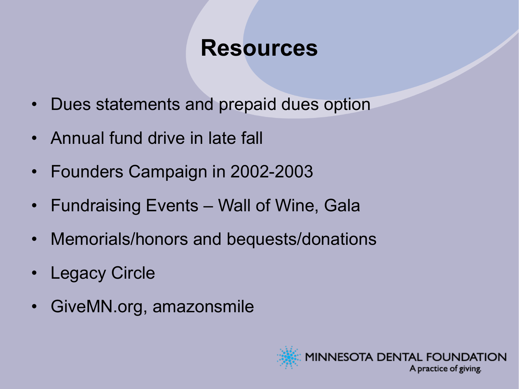#### **Resources**

- Dues statements and prepaid dues option
- Annual fund drive in late fall
- Founders Campaign in 2002-2003
- Fundraising Events Wall of Wine, Gala
- Memorials/honors and bequests/donations
- Legacy Circle
- GiveMN.org, amazonsmile

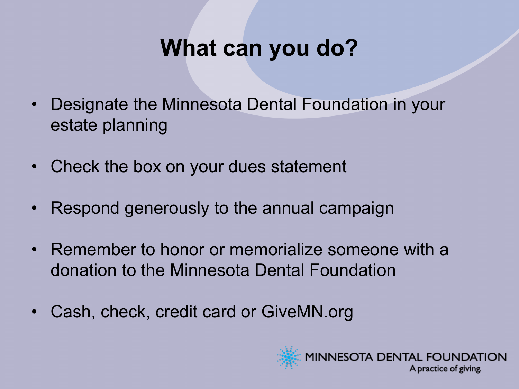### **What can you do?**

- Designate the Minnesota Dental Foundation in your estate planning
- Check the box on your dues statement
- Respond generously to the annual campaign
- Remember to honor or memorialize someone with a donation to the Minnesota Dental Foundation
- Cash, check, credit card or GiveMN.org